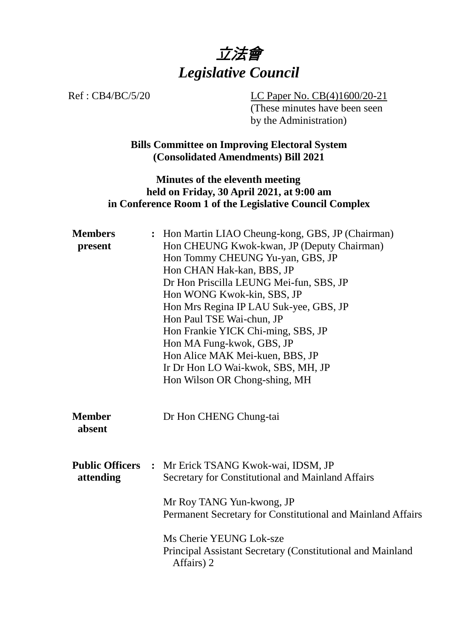

Ref : CB4/BC/5/20 LC Paper No. CB(4)1600/20-21 (These minutes have been seen by the Administration)

> **Bills Committee on Improving Electoral System (Consolidated Amendments) Bill 2021**

#### **Minutes of the eleventh meeting held on Friday, 30 April 2021, at 9:00 am in Conference Room 1 of the Legislative Council Complex**

| <b>Members</b><br>present           | : Hon Martin LIAO Cheung-kong, GBS, JP (Chairman)<br>Hon CHEUNG Kwok-kwan, JP (Deputy Chairman)<br>Hon Tommy CHEUNG Yu-yan, GBS, JP<br>Hon CHAN Hak-kan, BBS, JP<br>Dr Hon Priscilla LEUNG Mei-fun, SBS, JP<br>Hon WONG Kwok-kin, SBS, JP<br>Hon Mrs Regina IP LAU Suk-yee, GBS, JP<br>Hon Paul TSE Wai-chun, JP<br>Hon Frankie YICK Chi-ming, SBS, JP<br>Hon MA Fung-kwok, GBS, JP<br>Hon Alice MAK Mei-kuen, BBS, JP<br>Ir Dr Hon LO Wai-kwok, SBS, MH, JP<br>Hon Wilson OR Chong-shing, MH |
|-------------------------------------|-----------------------------------------------------------------------------------------------------------------------------------------------------------------------------------------------------------------------------------------------------------------------------------------------------------------------------------------------------------------------------------------------------------------------------------------------------------------------------------------------|
| <b>Member</b><br>absent             | Dr Hon CHENG Chung-tai                                                                                                                                                                                                                                                                                                                                                                                                                                                                        |
| <b>Public Officers</b><br>attending | : Mr Erick TSANG Kwok-wai, IDSM, JP<br>Secretary for Constitutional and Mainland Affairs<br>Mr Roy TANG Yun-kwong, JP<br>Permanent Secretary for Constitutional and Mainland Affairs<br>Ms Cherie YEUNG Lok-sze                                                                                                                                                                                                                                                                               |
|                                     | Principal Assistant Secretary (Constitutional and Mainland<br>Affairs) 2                                                                                                                                                                                                                                                                                                                                                                                                                      |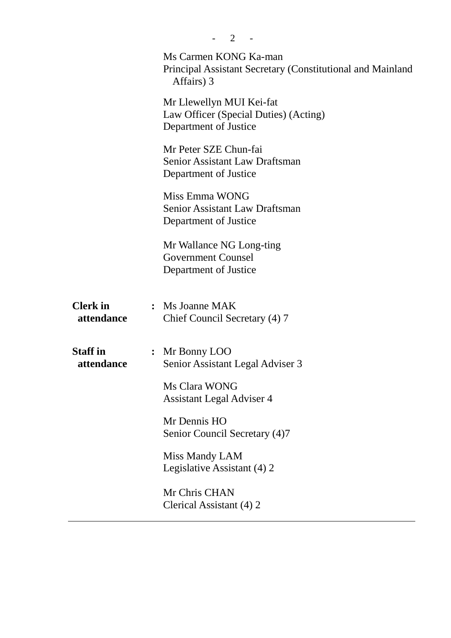|                               | 2                                                                                                 |
|-------------------------------|---------------------------------------------------------------------------------------------------|
|                               | Ms Carmen KONG Ka-man<br>Principal Assistant Secretary (Constitutional and Mainland<br>Affairs) 3 |
|                               | Mr Llewellyn MUI Kei-fat<br>Law Officer (Special Duties) (Acting)<br>Department of Justice        |
|                               | Mr Peter SZE Chun-fai<br><b>Senior Assistant Law Draftsman</b><br>Department of Justice           |
|                               | Miss Emma WONG<br><b>Senior Assistant Law Draftsman</b><br>Department of Justice                  |
|                               | Mr Wallance NG Long-ting<br><b>Government Counsel</b><br>Department of Justice                    |
| <b>Clerk</b> in<br>attendance | : Ms Joanne MAK<br>Chief Council Secretary (4) 7                                                  |
| <b>Staff</b> in<br>attendance | : Mr Bonny LOO<br>Senior Assistant Legal Adviser 3                                                |
|                               | Ms Clara WONG<br><b>Assistant Legal Adviser 4</b>                                                 |
|                               | Mr Dennis HO<br>Senior Council Secretary (4)7                                                     |
|                               | Miss Mandy LAM<br>Legislative Assistant (4) 2                                                     |
|                               | Mr Chris CHAN<br>Clerical Assistant (4) 2                                                         |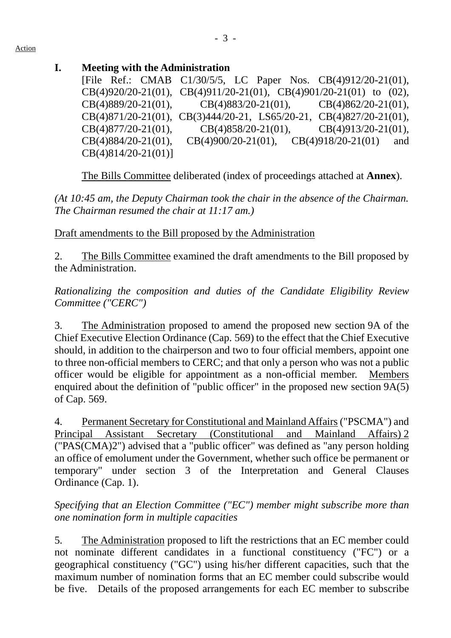### **I. Meeting with the Administration**

[File Ref.: CMAB C1/30/5/5, LC Paper Nos. CB(4)912/20-21(01), CB(4)920/20-21(01), CB(4)911/20-21(01), CB(4)901/20-21(01) to (02), CB(4)889/20-21(01), CB(4)883/20-21(01), CB(4)862/20-21(01), CB(4)871/20-21(01), CB(3)444/20-21, LS65/20-21, CB(4)827/20-21(01), CB(4)877/20-21(01), CB(4)858/20-21(01), CB(4)913/20-21(01), CB(4)884/20-21(01), CB(4)900/20-21(01), CB(4)918/20-21(01) and CB(4)814/20-21(01)]

1. The Bills Committee deliberated (index of proceedings attached at **Annex**).

*(At 10:45 am, the Deputy Chairman took the chair in the absence of the Chairman. The Chairman resumed the chair at 11:17 am.)*

Draft amendments to the Bill proposed by the Administration

2. The Bills Committee examined the draft amendments to the Bill proposed by the Administration.

*Rationalizing the composition and duties of the Candidate Eligibility Review Committee ("CERC")*

3. The Administration proposed to amend the proposed new section 9A of the Chief Executive Election Ordinance (Cap. 569) to the effect that the Chief Executive should, in addition to the chairperson and two to four official members, appoint one to three non-official members to CERC; and that only a person who was not a public officer would be eligible for appointment as a non-official member. Members enquired about the definition of "public officer" in the proposed new section 9A(5) of Cap. 569.

4. Permanent Secretary for Constitutional and Mainland Affairs ("PSCMA") and Principal Assistant Secretary (Constitutional and Mainland Affairs) 2 ("PAS(CMA)2") advised that a "public officer" was defined as "any person holding an office of emolument under the Government, whether such office be permanent or temporary" under section 3 of the Interpretation and General Clauses Ordinance (Cap. 1).

## *Specifying that an Election Committee ("EC") member might subscribe more than one nomination form in multiple capacities*

5. The Administration proposed to lift the restrictions that an EC member could not nominate different candidates in a functional constituency ("FC") or a geographical constituency ("GC") using his/her different capacities, such that the maximum number of nomination forms that an EC member could subscribe would be five. Details of the proposed arrangements for each EC member to subscribe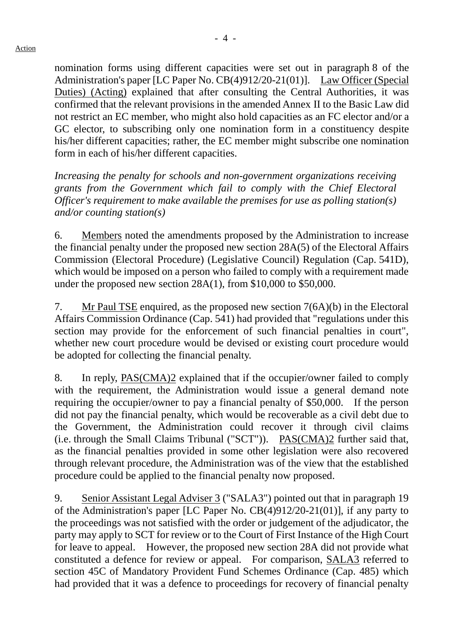nomination forms using different capacities were set out in paragraph 8 of the Administration's paper [LC Paper No. CB(4)912/20-21(01)]. Law Officer (Special Duties) (Acting) explained that after consulting the Central Authorities, it was confirmed that the relevant provisions in the amended Annex II to the Basic Law did not restrict an EC member, who might also hold capacities as an FC elector and/or a GC elector, to subscribing only one nomination form in a constituency despite his/her different capacities; rather, the EC member might subscribe one nomination form in each of his/her different capacities.

*Increasing the penalty for schools and non-government organizations receiving grants from the Government which fail to comply with the Chief Electoral Officer's requirement to make available the premises for use as polling station(s) and/or counting station(s)*

6. Members noted the amendments proposed by the Administration to increase the financial penalty under the proposed new section 28A(5) of the Electoral Affairs Commission (Electoral Procedure) (Legislative Council) Regulation (Cap. 541D), which would be imposed on a person who failed to comply with a requirement made under the proposed new section 28A(1), from \$10,000 to \$50,000.

7. Mr Paul TSE enquired, as the proposed new section 7(6A)(b) in the Electoral Affairs Commission Ordinance (Cap. 541) had provided that "regulations under this section may provide for the enforcement of such financial penalties in court", whether new court procedure would be devised or existing court procedure would be adopted for collecting the financial penalty.

8. In reply, PAS(CMA)2 explained that if the occupier/owner failed to comply with the requirement, the Administration would issue a general demand note requiring the occupier/owner to pay a financial penalty of \$50,000. If the person did not pay the financial penalty, which would be recoverable as a civil debt due to the Government, the Administration could recover it through civil claims (i.e. through the Small Claims Tribunal ("SCT")). PAS(CMA)2 further said that, as the financial penalties provided in some other legislation were also recovered through relevant procedure, the Administration was of the view that the established procedure could be applied to the financial penalty now proposed.

9. Senior Assistant Legal Adviser 3 ("SALA3") pointed out that in paragraph 19 of the Administration's paper [LC Paper No. CB(4)912/20-21(01)], if any party to the proceedings was not satisfied with the order or judgement of the adjudicator, the party may apply to SCT for review or to the Court of First Instance of the High Court for leave to appeal. However, the proposed new section 28A did not provide what constituted a defence for review or appeal. For comparison, SALA3 referred to section 45C of Mandatory Provident Fund Schemes Ordinance (Cap. 485) which had provided that it was a defence to proceedings for recovery of financial penalty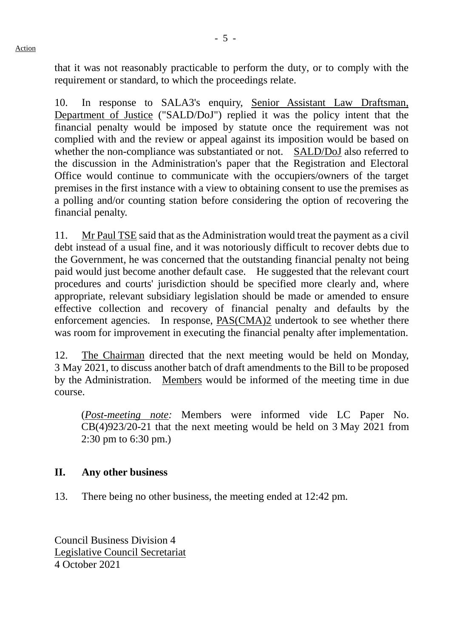that it was not reasonably practicable to perform the duty, or to comply with the requirement or standard, to which the proceedings relate.

10. In response to SALA3's enquiry, Senior Assistant Law Draftsman, Department of Justice ("SALD/DoJ") replied it was the policy intent that the financial penalty would be imposed by statute once the requirement was not complied with and the review or appeal against its imposition would be based on whether the non-compliance was substantiated or not. SALD/DoJ also referred to the discussion in the Administration's paper that the Registration and Electoral Office would continue to communicate with the occupiers/owners of the target premises in the first instance with a view to obtaining consent to use the premises as a polling and/or counting station before considering the option of recovering the financial penalty.

11. Mr Paul TSE said that as the Administration would treat the payment as a civil debt instead of a usual fine, and it was notoriously difficult to recover debts due to the Government, he was concerned that the outstanding financial penalty not being paid would just become another default case. He suggested that the relevant court procedures and courts' jurisdiction should be specified more clearly and, where appropriate, relevant subsidiary legislation should be made or amended to ensure effective collection and recovery of financial penalty and defaults by the enforcement agencies. In response, PAS(CMA)2 undertook to see whether there was room for improvement in executing the financial penalty after implementation.

12. The Chairman directed that the next meeting would be held on Monday, 3 May 2021, to discuss another batch of draft amendments to the Bill to be proposed by the Administration. Members would be informed of the meeting time in due course.

(*Post-meeting note:* Members were informed vide LC Paper No. CB(4)923/20-21 that the next meeting would be held on 3 May 2021 from 2:30 pm to 6:30 pm.)

#### **II. Any other business**

13. There being no other business, the meeting ended at 12:42 pm.

Council Business Division 4 Legislative Council Secretariat 4 October 2021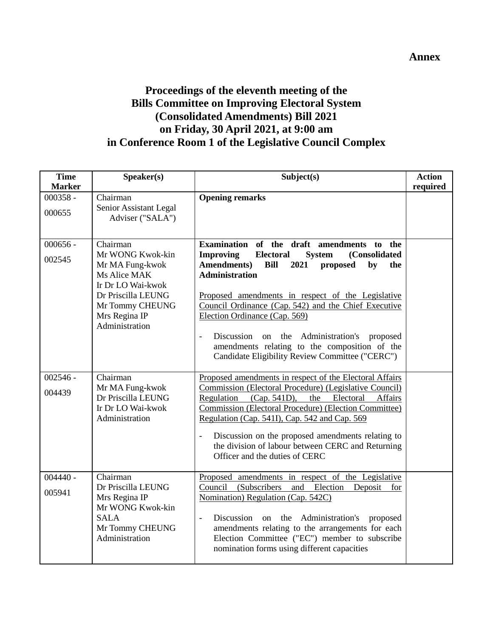# **Proceedings of the eleventh meeting of the Bills Committee on Improving Electoral System (Consolidated Amendments) Bill 2021 on Friday, 30 April 2021, at 9:00 am in Conference Room 1 of the Legislative Council Complex**

| <b>Time</b><br><b>Marker</b> | Speaker(s)                                                                                                                                                       | Subject(s)                                                                                                                                                                                                                                                                                                                                                                                                                                                                                                                                   | <b>Action</b><br>required |
|------------------------------|------------------------------------------------------------------------------------------------------------------------------------------------------------------|----------------------------------------------------------------------------------------------------------------------------------------------------------------------------------------------------------------------------------------------------------------------------------------------------------------------------------------------------------------------------------------------------------------------------------------------------------------------------------------------------------------------------------------------|---------------------------|
| $000358 -$<br>000655         | Chairman<br>Senior Assistant Legal<br>Adviser ("SALA")                                                                                                           | <b>Opening remarks</b>                                                                                                                                                                                                                                                                                                                                                                                                                                                                                                                       |                           |
| $000656 -$<br>002545         | Chairman<br>Mr WONG Kwok-kin<br>Mr MA Fung-kwok<br>Ms Alice MAK<br>Ir Dr LO Wai-kwok<br>Dr Priscilla LEUNG<br>Mr Tommy CHEUNG<br>Mrs Regina IP<br>Administration | Examination of the draft amendments to the<br><b>Electoral</b><br><b>Improving</b><br>(Consolidated<br><b>System</b><br><b>Amendments</b> )<br><b>Bill</b><br>2021<br>proposed<br>by<br>the<br><b>Administration</b><br>Proposed amendments in respect of the Legislative<br>Council Ordinance (Cap. 542) and the Chief Executive<br>Election Ordinance (Cap. 569)<br>Discussion<br>on the Administration's<br>proposed<br>$\frac{1}{2}$<br>amendments relating to the composition of the<br>Candidate Eligibility Review Committee ("CERC") |                           |
| $002546 -$<br>004439         | Chairman<br>Mr MA Fung-kwok<br>Dr Priscilla LEUNG<br>Ir Dr LO Wai-kwok<br>Administration                                                                         | Proposed amendments in respect of the Electoral Affairs<br>Commission (Electoral Procedure) (Legislative Council)<br>Regulation (Cap. 541D),<br>Electoral<br>Affairs<br>the<br>Commission (Electoral Procedure) (Election Committee)<br>Regulation (Cap. 541I), Cap. 542 and Cap. 569<br>Discussion on the proposed amendments relating to<br>$\blacksquare$<br>the division of labour between CERC and Returning<br>Officer and the duties of CERC                                                                                          |                           |
| $004440 -$<br>005941         | Chairman<br>Dr Priscilla LEUNG<br>Mrs Regina IP<br>Mr WONG Kwok-kin<br><b>SALA</b><br>Mr Tommy CHEUNG<br>Administration                                          | Proposed amendments in respect of the Legislative<br>Council<br>(Subscribers)<br>and Election<br>Deposit<br>for<br>Nomination) Regulation (Cap. 542C)<br>Discussion<br>on the Administration's<br>proposed<br>$\frac{1}{2}$<br>amendments relating to the arrangements for each<br>Election Committee ("EC") member to subscribe<br>nomination forms using different capacities                                                                                                                                                              |                           |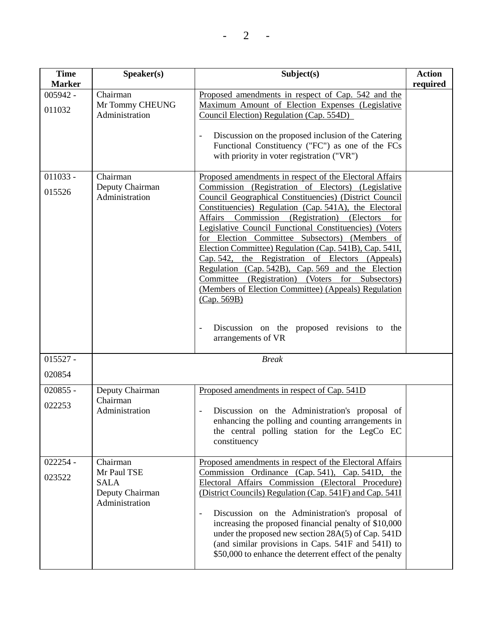| <b>Time</b><br><b>Marker</b> | Speaker(s)                                                      | Subject(s)                                                                                                                                                                                                                                                                                                                                                                                                                                                                                                                                                                                                                                                                                                                             | <b>Action</b><br>required |
|------------------------------|-----------------------------------------------------------------|----------------------------------------------------------------------------------------------------------------------------------------------------------------------------------------------------------------------------------------------------------------------------------------------------------------------------------------------------------------------------------------------------------------------------------------------------------------------------------------------------------------------------------------------------------------------------------------------------------------------------------------------------------------------------------------------------------------------------------------|---------------------------|
| $005942 -$                   | Chairman                                                        | Proposed amendments in respect of Cap. 542 and the                                                                                                                                                                                                                                                                                                                                                                                                                                                                                                                                                                                                                                                                                     |                           |
|                              | Mr Tommy CHEUNG                                                 | Maximum Amount of Election Expenses (Legislative                                                                                                                                                                                                                                                                                                                                                                                                                                                                                                                                                                                                                                                                                       |                           |
| 011032                       | Administration                                                  | Council Election) Regulation (Cap. 554D)                                                                                                                                                                                                                                                                                                                                                                                                                                                                                                                                                                                                                                                                                               |                           |
|                              |                                                                 | Discussion on the proposed inclusion of the Catering<br>Functional Constituency ("FC") as one of the FCs<br>with priority in voter registration ("VR")                                                                                                                                                                                                                                                                                                                                                                                                                                                                                                                                                                                 |                           |
| $011033 -$                   | Chairman                                                        | Proposed amendments in respect of the Electoral Affairs                                                                                                                                                                                                                                                                                                                                                                                                                                                                                                                                                                                                                                                                                |                           |
| 015526                       | Deputy Chairman<br>Administration                               | Commission (Registration of Electors) (Legislative<br>Council Geographical Constituencies) (District Council<br>Constituencies) Regulation (Cap. 541A), the Electoral<br>Affairs Commission (Registration) (Electors<br>for<br>Legislative Council Functional Constituencies) (Voters<br>for Election Committee Subsectors) (Members of<br>Election Committee) Regulation (Cap. 541B), Cap. 541I,<br>Cap. 542, the Registration of Electors (Appeals)<br>Regulation (Cap. 542B), Cap. 569 and the Election<br>Committee (Registration)<br>(Voters)<br>for Subsectors)<br>(Members of Election Committee) (Appeals) Regulation<br>(Cap. 569B)<br>Discussion on the proposed revisions to the<br>$\qquad \qquad -$<br>arrangements of VR |                           |
|                              |                                                                 |                                                                                                                                                                                                                                                                                                                                                                                                                                                                                                                                                                                                                                                                                                                                        |                           |
| $015527 -$                   |                                                                 | <b>Break</b>                                                                                                                                                                                                                                                                                                                                                                                                                                                                                                                                                                                                                                                                                                                           |                           |
| 020854                       |                                                                 |                                                                                                                                                                                                                                                                                                                                                                                                                                                                                                                                                                                                                                                                                                                                        |                           |
| $020855 -$                   | Deputy Chairman                                                 | Proposed amendments in respect of Cap. 541D                                                                                                                                                                                                                                                                                                                                                                                                                                                                                                                                                                                                                                                                                            |                           |
| 022253                       | Chairman<br>Administration                                      | Discussion on the Administration's proposal of<br>enhancing the polling and counting arrangements in<br>the central polling station for the LegCo EC<br>constituency                                                                                                                                                                                                                                                                                                                                                                                                                                                                                                                                                                   |                           |
| $022254 -$                   | Chairman                                                        | Proposed amendments in respect of the Electoral Affairs                                                                                                                                                                                                                                                                                                                                                                                                                                                                                                                                                                                                                                                                                |                           |
| 023522                       | Mr Paul TSE<br><b>SALA</b><br>Deputy Chairman<br>Administration | Commission Ordinance (Cap. 541), Cap. 541D, the<br>Electoral Affairs Commission (Electoral Procedure)<br>(District Councils) Regulation (Cap. 541F) and Cap. 541I<br>Discussion on the Administration's proposal of<br>$\overline{\phantom{a}}$<br>increasing the proposed financial penalty of \$10,000<br>under the proposed new section 28A(5) of Cap. 541D<br>(and similar provisions in Caps. 541F and 541I) to<br>\$50,000 to enhance the deterrent effect of the penalty                                                                                                                                                                                                                                                        |                           |